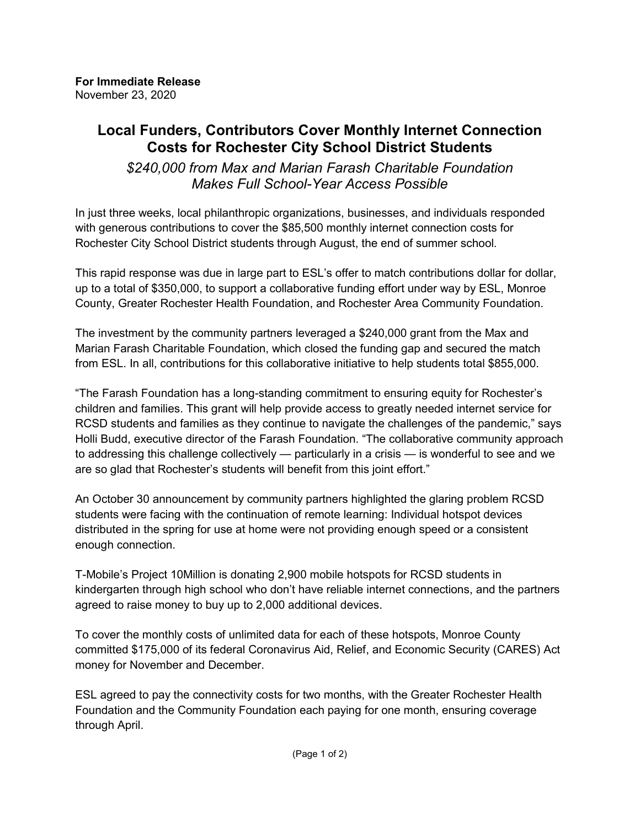## **Local Funders, Contributors Cover Monthly Internet Connection Costs for Rochester City School District Students**

*\$240,000 from Max and Marian Farash Charitable Foundation Makes Full School-Year Access Possible*

In just three weeks, local philanthropic organizations, businesses, and individuals responded with generous contributions to cover the \$85,500 monthly internet connection costs for Rochester City School District students through August, the end of summer school.

This rapid response was due in large part to ESL's offer to match contributions dollar for dollar, up to a total of \$350,000, to support a collaborative funding effort under way by ESL, Monroe County, Greater Rochester Health Foundation, and Rochester Area Community Foundation.

The investment by the community partners leveraged a \$240,000 grant from the Max and Marian Farash Charitable Foundation, which closed the funding gap and secured the match from ESL. In all, contributions for this collaborative initiative to help students total \$855,000.

"The Farash Foundation has a long-standing commitment to ensuring equity for Rochester's children and families. This grant will help provide access to greatly needed internet service for RCSD students and families as they continue to navigate the challenges of the pandemic," says Holli Budd, executive director of the Farash Foundation. "The collaborative community approach to addressing this challenge collectively — particularly in a crisis — is wonderful to see and we are so glad that Rochester's students will benefit from this joint effort."

An October 30 announcement by community partners highlighted the glaring problem RCSD students were facing with the continuation of remote learning: Individual hotspot devices distributed in the spring for use at home were not providing enough speed or a consistent enough connection.

T-Mobile's Project 10Million is donating 2,900 mobile hotspots for RCSD students in kindergarten through high school who don't have reliable internet connections, and the partners agreed to raise money to buy up to 2,000 additional devices.

To cover the monthly costs of unlimited data for each of these hotspots, Monroe County committed \$175,000 of its federal Coronavirus Aid, Relief, and Economic Security (CARES) Act money for November and December.

ESL agreed to pay the connectivity costs for two months, with the Greater Rochester Health Foundation and the Community Foundation each paying for one month, ensuring coverage through April.